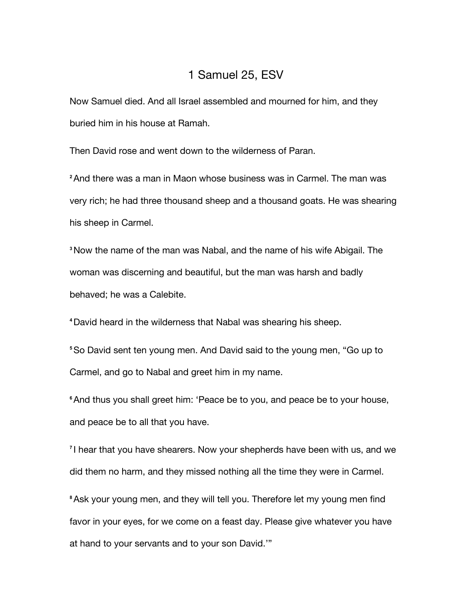## 1 Samuel 25, ESV

Now Samuel died. And all Israel assembled and mourned for him, and they buried him in his house at Ramah.

Then David rose and went down to the wilderness of Paran.

**<sup>2</sup>**And there was a man in Maon whose business was in Carmel. The man was very rich; he had three thousand sheep and a thousand goats. He was shearing his sheep in Carmel.

**<sup>3</sup>**Now the name of the man was Nabal, and the name of his wife Abigail. The woman was discerning and beautiful, but the man was harsh and badly behaved; he was a Calebite.

**<sup>4</sup>**David heard in the wilderness that Nabal was shearing his sheep.

**<sup>5</sup>**So David sent ten young men. And David said to the young men, "Go up to Carmel, and go to Nabal and greet him in my name.

**<sup>6</sup>**And thus you shall greet him: 'Peace be to you, and peace be to your house, and peace be to all that you have.

**<sup>7</sup>** I hear that you have shearers. Now your shepherds have been with us, and we did them no harm, and they missed nothing all the time they were in Carmel.

**<sup>8</sup>**Ask your young men, and they will tell you. Therefore let my young men find favor in your eyes, for we come on a feast day. Please give whatever you have at hand to your servants and to your son David.'"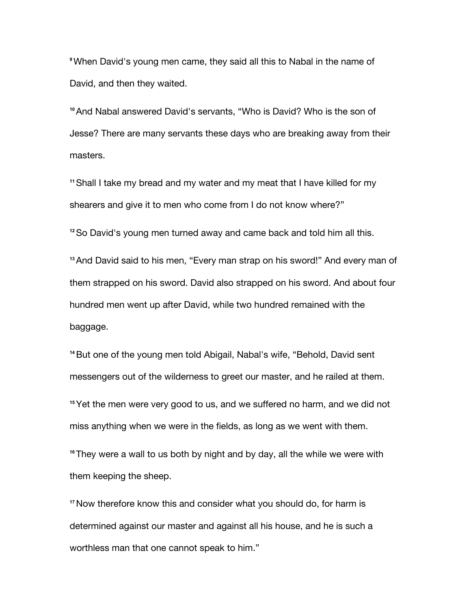**<sup>9</sup>**When David's young men came, they said all this to Nabal in the name of David, and then they waited.

**<sup>10</sup>**And Nabal answered David's servants, "Who is David? Who is the son of Jesse? There are many servants these days who are breaking away from their masters.

**<sup>11</sup>**Shall I take my bread and my water and my meat that I have killed for my shearers and give it to men who come from I do not know where?"

**<sup>12</sup>**So David's young men turned away and came back and told him all this.

**<sup>13</sup>**And David said to his men, "Every man strap on his sword!" And every man of them strapped on his sword. David also strapped on his sword. And about four hundred men went up after David, while two hundred remained with the baggage.

**<sup>14</sup>**But one of the young men told Abigail, Nabal's wife, "Behold, David sent messengers out of the wilderness to greet our master, and he railed at them.

**<sup>15</sup>**Yet the men were very good to us, and we suffered no harm, and we did not miss anything when we were in the fields, as long as we went with them.

**<sup>16</sup>**They were a wall to us both by night and by day, all the while we were with them keeping the sheep.

**<sup>17</sup>**Now therefore know this and consider what you should do, for harm is determined against our master and against all his house, and he is such a worthless man that one cannot speak to him."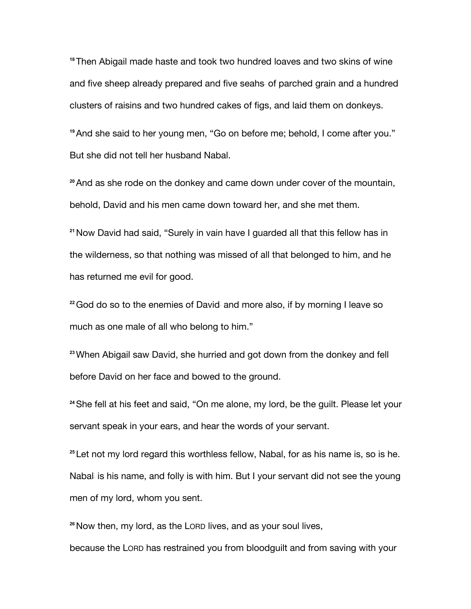**<sup>18</sup>**Then Abigail made haste and took two hundred loaves and two skins of wine and five sheep already prepared and five seahs of parched grain and a hundred clusters of raisins and two hundred cakes of figs, and laid them on donkeys.

**<sup>19</sup>**And she said to her young men, "Go on before me; behold, I come after you." But she did not tell her husband Nabal.

**<sup>20</sup>**And as she rode on the donkey and came down under cover of the mountain, behold, David and his men came down toward her, and she met them.

**<sup>21</sup>**Now David had said, "Surely in vain have I guarded all that this fellow has in the wilderness, so that nothing was missed of all that belonged to him, and he has returned me evil for good.

<sup>22</sup> God do so to the enemies of David and more also, if by morning I leave so much as one male of all who belong to him."

**<sup>23</sup>**When Abigail saw David, she hurried and got down from the donkey and fell before David on her face and bowed to the ground.

**<sup>24</sup>**She fell at his feet and said, "On me alone, my lord, be the guilt. Please let your servant speak in your ears, and hear the words of your servant.

**<sup>25</sup>** Let not my lord regard this worthless fellow, Nabal, for as his name is, so is he. Nabal is his name, and folly is with him. But I your servant did not see the young men of my lord, whom you sent.

**<sup>26</sup>**Now then, my lord, as the LORD lives, and as your soul lives,

because the LORD has restrained you from bloodguilt and from saving with your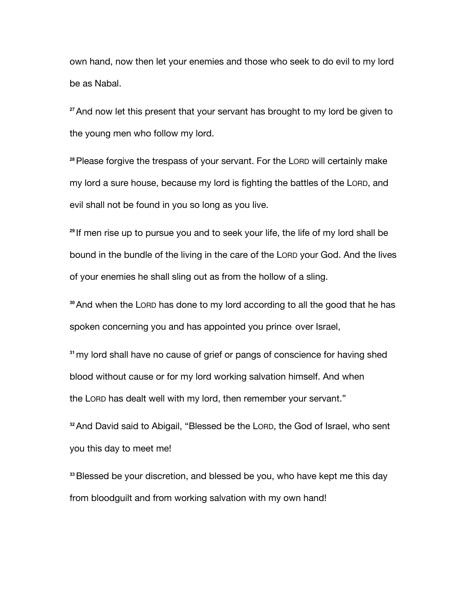own hand, now then let your enemies and those who seek to do evil to my lord be as Nabal.

**<sup>27</sup>**And now let this present that your servant has brought to my lord be given to the young men who follow my lord.

**<sup>28</sup>**Please forgive the trespass of your servant. For the LORD will certainly make my lord a sure house, because my lord is fighting the battles of the LORD, and evil shall not be found in you so long as you live.

**<sup>29</sup>** If men rise up to pursue you and to seek your life, the life of my lord shall be bound in the bundle of the living in the care of the LORD your God. And the lives of your enemies he shall sling out as from the hollow of a sling.

**<sup>30</sup>**And when the LORD has done to my lord according to all the good that he has spoken concerning you and has appointed you prince over Israel,

**<sup>31</sup>**my lord shall have no cause of grief or pangs of conscience for having shed blood without cause or for my lord working salvation himself. And when the LORD has dealt well with my lord, then remember your servant."

**<sup>32</sup>**And David said to Abigail, "Blessed be the LORD, the God of Israel, who sent you this day to meet me!

**<sup>33</sup>**Blessed be your discretion, and blessed be you, who have kept me this day from bloodguilt and from working salvation with my own hand!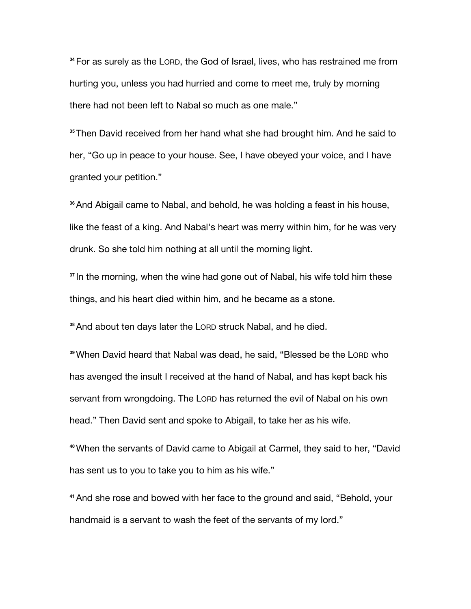**<sup>34</sup>**For as surely as the LORD, the God of Israel, lives, who has restrained me from hurting you, unless you had hurried and come to meet me, truly by morning there had not been left to Nabal so much as one male."

**<sup>35</sup>**Then David received from her hand what she had brought him. And he said to her, "Go up in peace to your house. See, I have obeyed your voice, and I have granted your petition."

**<sup>36</sup>**And Abigail came to Nabal, and behold, he was holding a feast in his house, like the feast of a king. And Nabal's heart was merry within him, for he was very drunk. So she told him nothing at all until the morning light.

**<sup>37</sup>** In the morning, when the wine had gone out of Nabal, his wife told him these things, and his heart died within him, and he became as a stone.

**<sup>38</sup>**And about ten days later the LORD struck Nabal, and he died.

**<sup>39</sup>**When David heard that Nabal was dead, he said, "Blessed be the LORD who has avenged the insult I received at the hand of Nabal, and has kept back his servant from wrongdoing. The LORD has returned the evil of Nabal on his own head." Then David sent and spoke to Abigail, to take her as his wife.

**<sup>40</sup>**When the servants of David came to Abigail at Carmel, they said to her, "David has sent us to you to take you to him as his wife."

**<sup>41</sup>**And she rose and bowed with her face to the ground and said, "Behold, your handmaid is a servant to wash the feet of the servants of my lord."